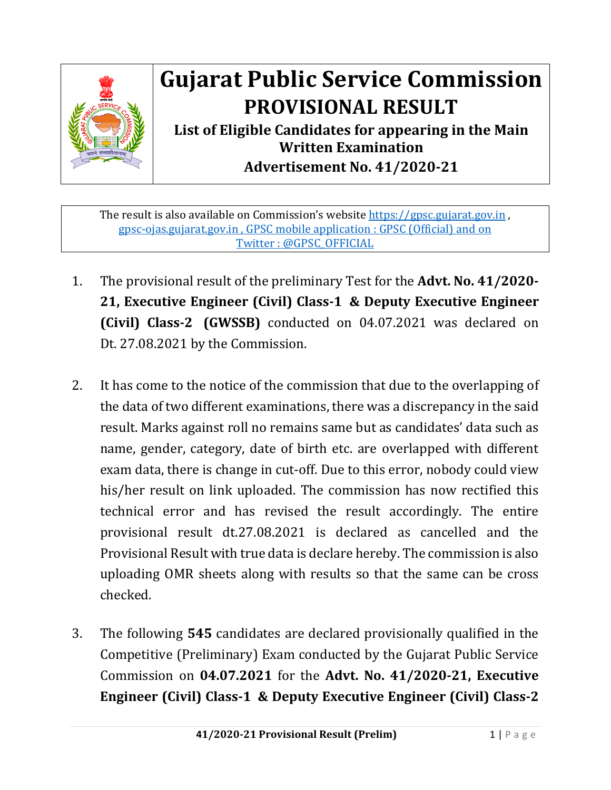

## **Gujarat Public Service Commission PROVISIONAL RESULT**

**List of Eligible Candidates for appearing in the Main Written Examination Advertisement No. 41/2020-21**

The result is also available on Commission's website [https://gpsc.gujarat.gov.in](https://gpsc.gujarat.gov.in/), gpsc-ojas.gujarat.gov.in , GPSC mobile application : GPSC (Official) and on Twitter : @GPSC\_OFFICIAL

- 1. The provisional result of the preliminary Test for the **Advt. No. 41/2020- 21, Executive Engineer (Civil) Class-1 & Deputy Executive Engineer (Civil) Class-2 (GWSSB)** conducted on 04.07.2021 was declared on Dt. 27.08.2021 by the Commission.
- 2. It has come to the notice of the commission that due to the overlapping of the data of two different examinations, there was a discrepancy in the said result. Marks against roll no remains same but as candidates' data such as name, gender, category, date of birth etc. are overlapped with different exam data, there is change in cut-off. Due to this error, nobody could view his/her result on link uploaded. The commission has now rectified this technical error and has revised the result accordingly. The entire provisional result dt.27.08.2021 is declared as cancelled and the Provisional Result with true data is declare hereby. The commission is also uploading OMR sheets along with results so that the same can be cross checked.
- 3. The following **545** candidates are declared provisionally qualified in the Competitive (Preliminary) Exam conducted by the Gujarat Public Service Commission on **04.07.2021** for the **Advt. No. 41/2020-21, Executive Engineer (Civil) Class-1 & Deputy Executive Engineer (Civil) Class-2**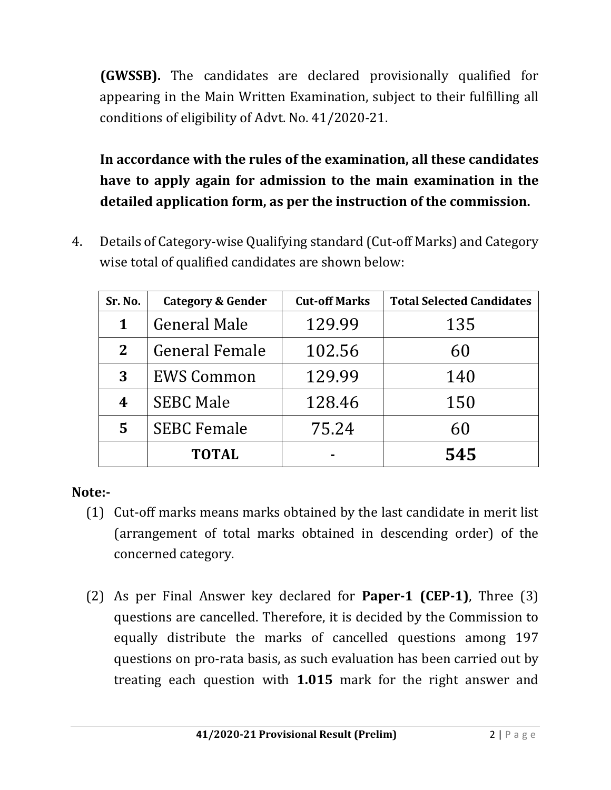**(GWSSB).** The candidates are declared provisionally qualified for appearing in the Main Written Examination, subject to their fulfilling all conditions of eligibility of Advt. No. 41/2020-21.

**In accordance with the rules of the examination, all these candidates have to apply again for admission to the main examination in the detailed application form, as per the instruction of the commission.** 

4. Details of Category-wise Qualifying standard (Cut-off Marks) and Category wise total of qualified candidates are shown below:

| Sr. No.      | Category & Gender     | <b>Cut-off Marks</b> | <b>Total Selected Candidates</b> |
|--------------|-----------------------|----------------------|----------------------------------|
| 1            | General Male          | 129.99               | 135                              |
| $\mathbf{2}$ | <b>General Female</b> | 102.56               | 60                               |
| 3            | <b>EWS Common</b>     | 129.99               | 140                              |
| 4            | <b>SEBC Male</b>      | 128.46               | 150                              |
| 5            | <b>SEBC Female</b>    | 75.24                | 60                               |
|              | <b>TOTAL</b>          |                      | 545                              |

## **Note:-**

- (1) Cut-off marks means marks obtained by the last candidate in merit list (arrangement of total marks obtained in descending order) of the concerned category.
- (2) As per Final Answer key declared for **Paper-1 (CEP-1)**, Three (3) questions are cancelled. Therefore, it is decided by the Commission to equally distribute the marks of cancelled questions among 197 questions on pro-rata basis, as such evaluation has been carried out by treating each question with **1.015** mark for the right answer and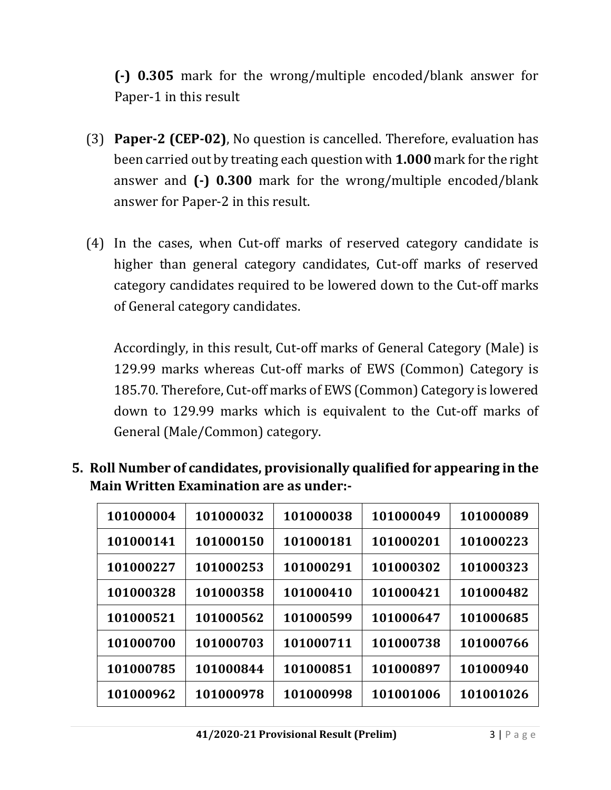**(-) 0.305** mark for the wrong/multiple encoded/blank answer for Paper-1 in this result

- (3) **Paper-2 (CEP-02)**, No question is cancelled. Therefore, evaluation has been carried out by treating each question with **1.000** mark for the right answer and **(-) 0.300** mark for the wrong/multiple encoded/blank answer for Paper-2 in this result.
- (4) In the cases, when Cut-off marks of reserved category candidate is higher than general category candidates, Cut-off marks of reserved category candidates required to be lowered down to the Cut-off marks of General category candidates.

Accordingly, in this result, Cut-off marks of General Category (Male) is 129.99 marks whereas Cut-off marks of EWS (Common) Category is 185.70. Therefore, Cut-off marks of EWS (Common) Category is lowered down to 129.99 marks which is equivalent to the Cut-off marks of General (Male/Common) category.

**5. Roll Number of candidates, provisionally qualified for appearing in the Main Written Examination are as under:-**

| 101000004 | 101000032 | 101000038 | 101000049 | 101000089 |
|-----------|-----------|-----------|-----------|-----------|
| 101000141 | 101000150 | 101000181 | 101000201 | 101000223 |
| 101000227 | 101000253 | 101000291 | 101000302 | 101000323 |
| 101000328 | 101000358 | 101000410 | 101000421 | 101000482 |
| 101000521 | 101000562 | 101000599 | 101000647 | 101000685 |
| 101000700 | 101000703 | 101000711 | 101000738 | 101000766 |
| 101000785 | 101000844 | 101000851 | 101000897 | 101000940 |
| 101000962 | 101000978 | 101000998 | 101001006 | 101001026 |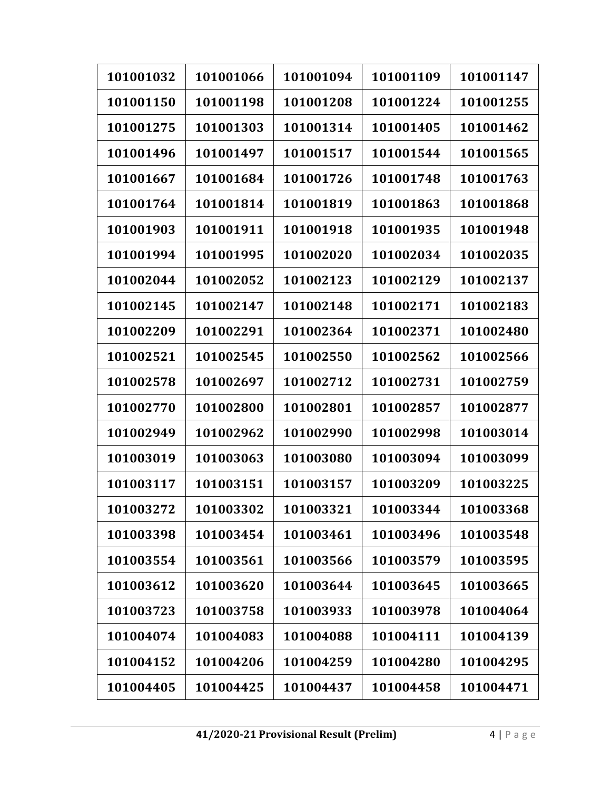| 101001032 | 101001066 | 101001094 | 101001109 | 101001147 |
|-----------|-----------|-----------|-----------|-----------|
| 101001150 | 101001198 | 101001208 | 101001224 | 101001255 |
| 101001275 | 101001303 | 101001314 | 101001405 | 101001462 |
| 101001496 | 101001497 | 101001517 | 101001544 | 101001565 |
| 101001667 | 101001684 | 101001726 | 101001748 | 101001763 |
| 101001764 | 101001814 | 101001819 | 101001863 | 101001868 |
| 101001903 | 101001911 | 101001918 | 101001935 | 101001948 |
| 101001994 | 101001995 | 101002020 | 101002034 | 101002035 |
| 101002044 | 101002052 | 101002123 | 101002129 | 101002137 |
| 101002145 | 101002147 | 101002148 | 101002171 | 101002183 |
| 101002209 | 101002291 | 101002364 | 101002371 | 101002480 |
| 101002521 | 101002545 | 101002550 | 101002562 | 101002566 |
| 101002578 | 101002697 | 101002712 | 101002731 | 101002759 |
| 101002770 | 101002800 | 101002801 | 101002857 | 101002877 |
| 101002949 | 101002962 | 101002990 | 101002998 | 101003014 |
| 101003019 | 101003063 | 101003080 | 101003094 | 101003099 |
| 101003117 | 101003151 | 101003157 | 101003209 | 101003225 |
| 101003272 | 101003302 | 101003321 | 101003344 | 101003368 |
| 101003398 | 101003454 | 101003461 | 101003496 | 101003548 |
| 101003554 | 101003561 | 101003566 | 101003579 | 101003595 |
| 101003612 | 101003620 | 101003644 | 101003645 | 101003665 |
| 101003723 | 101003758 | 101003933 | 101003978 | 101004064 |
| 101004074 | 101004083 | 101004088 | 101004111 | 101004139 |
| 101004152 | 101004206 | 101004259 | 101004280 | 101004295 |
| 101004405 | 101004425 | 101004437 | 101004458 | 101004471 |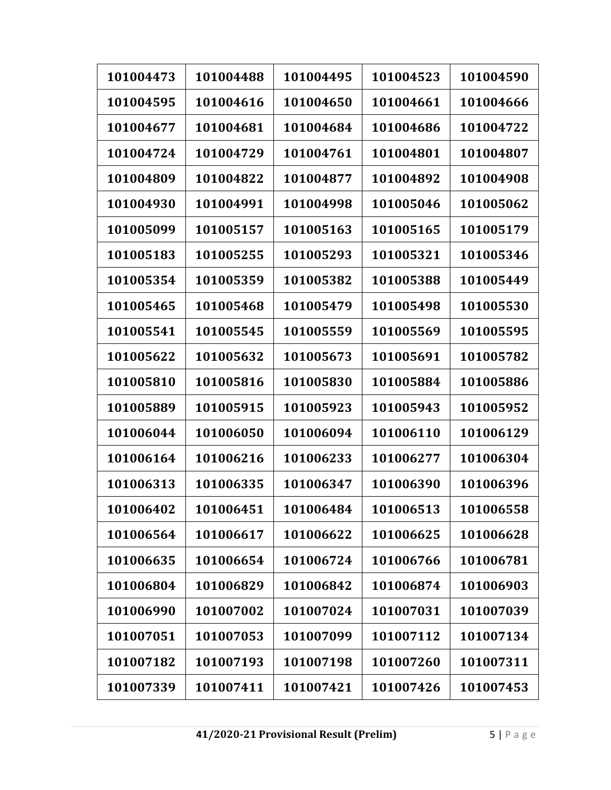| 101004473 | 101004488 | 101004495 | 101004523 | 101004590 |
|-----------|-----------|-----------|-----------|-----------|
| 101004595 | 101004616 | 101004650 | 101004661 | 101004666 |
| 101004677 | 101004681 | 101004684 | 101004686 | 101004722 |
| 101004724 | 101004729 | 101004761 | 101004801 | 101004807 |
| 101004809 | 101004822 | 101004877 | 101004892 | 101004908 |
| 101004930 | 101004991 | 101004998 | 101005046 | 101005062 |
| 101005099 | 101005157 | 101005163 | 101005165 | 101005179 |
| 101005183 | 101005255 | 101005293 | 101005321 | 101005346 |
| 101005354 | 101005359 | 101005382 | 101005388 | 101005449 |
| 101005465 | 101005468 | 101005479 | 101005498 | 101005530 |
| 101005541 | 101005545 | 101005559 | 101005569 | 101005595 |
| 101005622 | 101005632 | 101005673 | 101005691 | 101005782 |
| 101005810 | 101005816 | 101005830 | 101005884 | 101005886 |
| 101005889 | 101005915 | 101005923 | 101005943 | 101005952 |
| 101006044 | 101006050 | 101006094 | 101006110 | 101006129 |
| 101006164 | 101006216 | 101006233 | 101006277 | 101006304 |
| 101006313 | 101006335 | 101006347 | 101006390 | 101006396 |
| 101006402 | 101006451 | 101006484 | 101006513 | 101006558 |
| 101006564 | 101006617 | 101006622 | 101006625 | 101006628 |
| 101006635 | 101006654 | 101006724 | 101006766 | 101006781 |
| 101006804 | 101006829 | 101006842 | 101006874 | 101006903 |
| 101006990 | 101007002 | 101007024 | 101007031 | 101007039 |
| 101007051 | 101007053 | 101007099 | 101007112 | 101007134 |
| 101007182 | 101007193 | 101007198 | 101007260 | 101007311 |
| 101007339 | 101007411 | 101007421 | 101007426 | 101007453 |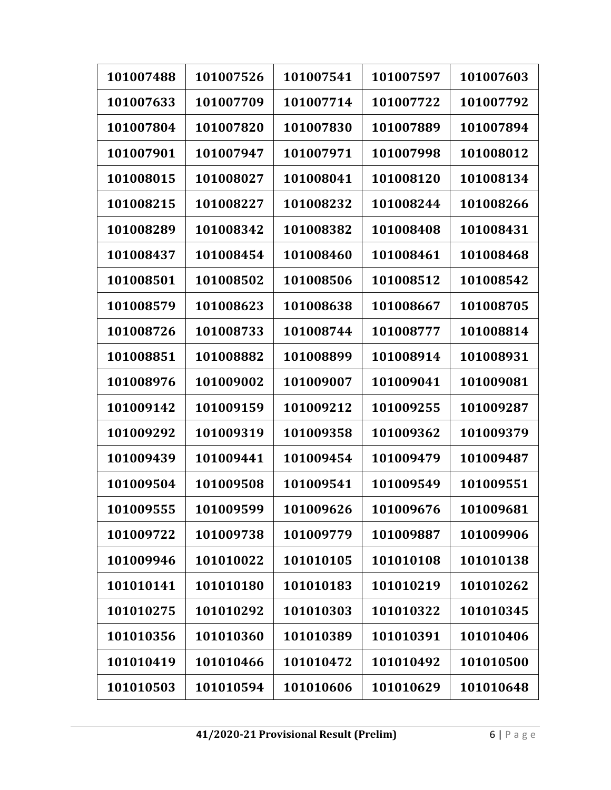| 101007488 | 101007526 | 101007541 | 101007597 | 101007603 |
|-----------|-----------|-----------|-----------|-----------|
| 101007633 | 101007709 | 101007714 | 101007722 | 101007792 |
| 101007804 | 101007820 | 101007830 | 101007889 | 101007894 |
| 101007901 | 101007947 | 101007971 | 101007998 | 101008012 |
| 101008015 | 101008027 | 101008041 | 101008120 | 101008134 |
| 101008215 | 101008227 | 101008232 | 101008244 | 101008266 |
| 101008289 | 101008342 | 101008382 | 101008408 | 101008431 |
| 101008437 | 101008454 | 101008460 | 101008461 | 101008468 |
| 101008501 | 101008502 | 101008506 | 101008512 | 101008542 |
| 101008579 | 101008623 | 101008638 | 101008667 | 101008705 |
| 101008726 | 101008733 | 101008744 | 101008777 | 101008814 |
| 101008851 | 101008882 | 101008899 | 101008914 | 101008931 |
| 101008976 | 101009002 | 101009007 | 101009041 | 101009081 |
| 101009142 | 101009159 | 101009212 | 101009255 | 101009287 |
| 101009292 | 101009319 | 101009358 | 101009362 | 101009379 |
| 101009439 | 101009441 | 101009454 | 101009479 | 101009487 |
| 101009504 | 101009508 | 101009541 | 101009549 | 101009551 |
| 101009555 | 101009599 | 101009626 | 101009676 | 101009681 |
| 101009722 | 101009738 | 101009779 | 101009887 | 101009906 |
| 101009946 | 101010022 | 101010105 | 101010108 | 101010138 |
| 101010141 | 101010180 | 101010183 | 101010219 | 101010262 |
| 101010275 | 101010292 | 101010303 | 101010322 | 101010345 |
| 101010356 | 101010360 | 101010389 | 101010391 | 101010406 |
| 101010419 | 101010466 | 101010472 | 101010492 | 101010500 |
| 101010503 | 101010594 | 101010606 | 101010629 | 101010648 |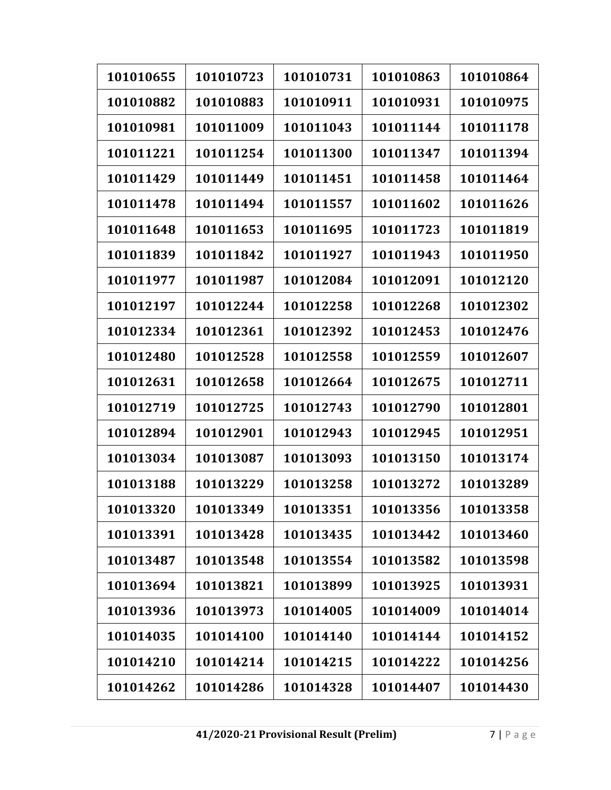| 101010655 | 101010723 | 101010731 | 101010863 | 101010864 |
|-----------|-----------|-----------|-----------|-----------|
| 101010882 | 101010883 | 101010911 | 101010931 | 101010975 |
| 101010981 | 101011009 | 101011043 | 101011144 | 101011178 |
| 101011221 | 101011254 | 101011300 | 101011347 | 101011394 |
| 101011429 | 101011449 | 101011451 | 101011458 | 101011464 |
| 101011478 | 101011494 | 101011557 | 101011602 | 101011626 |
| 101011648 | 101011653 | 101011695 | 101011723 | 101011819 |
| 101011839 | 101011842 | 101011927 | 101011943 | 101011950 |
| 101011977 | 101011987 | 101012084 | 101012091 | 101012120 |
| 101012197 | 101012244 | 101012258 | 101012268 | 101012302 |
| 101012334 | 101012361 | 101012392 | 101012453 | 101012476 |
| 101012480 | 101012528 | 101012558 | 101012559 | 101012607 |
| 101012631 | 101012658 | 101012664 | 101012675 | 101012711 |
| 101012719 | 101012725 | 101012743 | 101012790 | 101012801 |
| 101012894 | 101012901 | 101012943 | 101012945 | 101012951 |
| 101013034 | 101013087 | 101013093 | 101013150 | 101013174 |
| 101013188 | 101013229 | 101013258 | 101013272 | 101013289 |
| 101013320 | 101013349 | 101013351 | 101013356 | 101013358 |
| 101013391 | 101013428 | 101013435 | 101013442 | 101013460 |
| 101013487 | 101013548 | 101013554 | 101013582 | 101013598 |
| 101013694 | 101013821 | 101013899 | 101013925 | 101013931 |
| 101013936 | 101013973 | 101014005 | 101014009 | 101014014 |
| 101014035 | 101014100 | 101014140 | 101014144 | 101014152 |
| 101014210 | 101014214 | 101014215 | 101014222 | 101014256 |
| 101014262 | 101014286 | 101014328 | 101014407 | 101014430 |